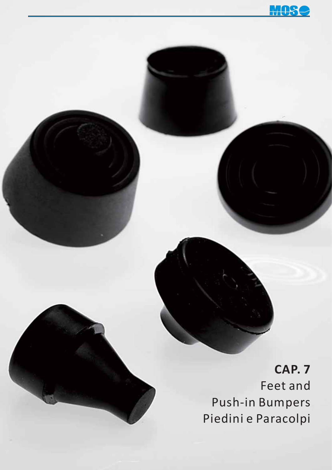$\mathbf{H}$ 

**CAP. 7** Feet and Push-in Bumpers Piedini e Paracolpi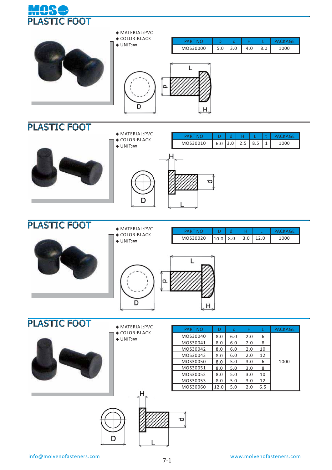

| $\blacklozenge$ MATERIAL:PVC<br>$\blacklozenge$ COLOR: BLACK<br>$\triangle$ UNIT:mm | <b>PART NO</b><br>MOS30000 | D<br>5.0 | d<br>3.0 | н<br>4.0 | 8.0 | <b>PACKAGE</b><br>1000 |
|-------------------------------------------------------------------------------------|----------------------------|----------|----------|----------|-----|------------------------|
|                                                                                     |                            |          |          |          |     |                        |





**◆** MATERIAL:PVC

D



 $H$ 

# PLASTIC FOOT



- **◆** MATERIAL:PVC
- **◆** COLOR:BLACK **◆** UNIT:**㎜**

| MOS30020 | 10.0 | 8.0 | 3.0 | .2.0 |  |
|----------|------|-----|-----|------|--|

PART NO | D | d | H | L | t | PACKAGE MOS30010 6.0 3.0 2.5 8.5 1 1000

t





- **◆** MATERIAL:PVC
- **◆** COLOR:BLACK **◆** UNIT:**㎜**



| PART NO  | D    | d   | Н   |     | <b>PACKAGE</b> |
|----------|------|-----|-----|-----|----------------|
| MOS30040 | 8.0  | 6.0 | 2.0 | 6   |                |
| MOS30041 | 8.0  | 6.0 | 2.0 | 8   |                |
| MOS30042 | 8.0  | 6.0 | 2.0 | 10  |                |
| MOS30043 | 8.0  | 6.0 | 2.0 | 12  |                |
| MOS30050 | 8.0  | 5.0 | 3.0 | 6   | 1000           |
| MOS30051 | 8.0  | 5.0 | 3.0 | 8   |                |
| MOS30052 | 8.0  | 5.0 | 3.0 | 10  |                |
| MOS30053 | 8.0  | 5.0 | 3.0 | 12  |                |
| MOS30060 | 12.0 | 5.0 | 2.0 | 6.5 |                |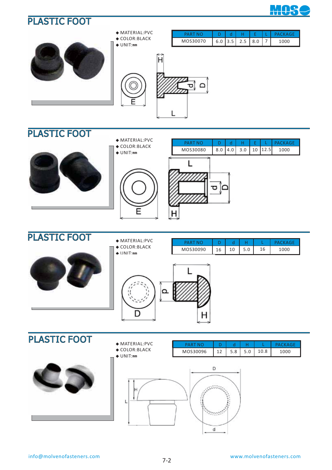



L

### PLASTIC FOOT

PLASTIC FOOT



**◆** MATERIAL:PVC **◆** COLOR:BLACK **◆** UNIT:**㎜**





| I LAJI 15 I VVI | $\blacklozenge$ MATERIAL:PVC                    | <b>PART NO</b> |    | d  | н   |    | <b>PACKAGE</b> |
|-----------------|-------------------------------------------------|----------------|----|----|-----|----|----------------|
|                 | $\triangle$ COLOR: BLACK<br>$\triangle$ UNIT:mm | MOS30090       | 16 | 10 | 5.0 | 16 | 1000           |
|                 |                                                 |                |    |    |     |    |                |

#### D н PLASTIC FOOT **◆** MATERIAL:PVC PART NO D d H PACKAGE L **◆** COLOR:BLACK MOS30096 12 5.8 5.0 10.8 1000 **◆** UNIT:**㎜**

L





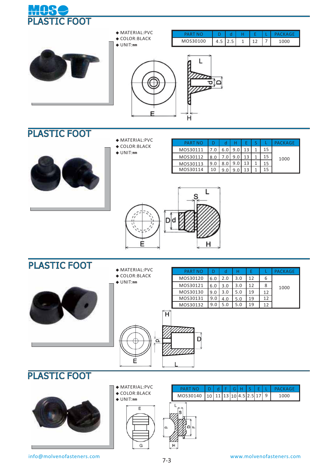



E

### PLASTIC FOOT

- **◆** MATERIAL:PVC
- **◆** COLOR:BLACK
- **◆** UNIT:**㎜**

| <b>PART NO</b> |     |     |     |  |    | PACKAGE |
|----------------|-----|-----|-----|--|----|---------|
| MOS30111       |     | 6.0 | 9.0 |  | 15 |         |
| MOS30112       | 8.0 |     |     |  |    | 1000    |
| MOS30113       | 9.0 |     |     |  |    |         |
| MOS30114       |     |     | a r |  |    |         |



H

# PLASTIC FOOT





**◆** MATERIAL:PVC **◆** COLOR:BLACK



 MOS30121 MOS30130

# PLASTIC FOOT



- **◆** MATERIAL:PVC **◆** COLOR:BLACK
- **◆** UNIT:**㎜**



| PART NO                                           |  |  |  |  | D d F G H S E L PACKAGE |
|---------------------------------------------------|--|--|--|--|-------------------------|
| MOS30140   10   11   13   10   4.5   2.5   17   9 |  |  |  |  | 1000                    |

PART NO D d H E L PACKAGE

 $3.0$ 5.0  $\frac{5.0}{5.0}$  12

12 19  $\frac{19}{19}$  L

8 12  $\frac{12}{12}$ 

1000

MOS30120 6.0 2.0 3.0 12 6

 3.0 3.0

 6.0 9.0

H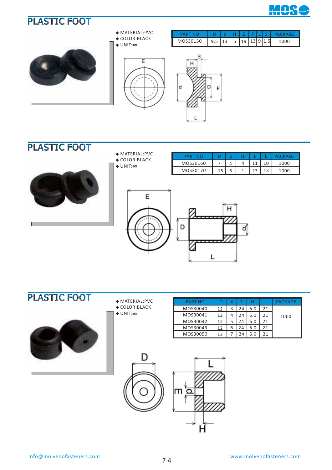





|                                    |  | E[F L] |  |  |
|------------------------------------|--|--------|--|--|
| $9.5$   13   5   19   13   9   1.5 |  |        |  |  |





# PLASTIC FOOT



- **◆** MATERIAL:PVC
	- **◆** COLOR:BLACK **◆** UNIT:**㎜**
	-

| P∆RT     |    |   |           | K∆GF |
|----------|----|---|-----------|------|
| MOS30160 |    | 4 |           | 1000 |
| MOS30170 | 15 | ь | າາ<br>د ے | 1000 |





- **◆** MATERIAL:PVC **◆** COLOR:BLACK
- **◆** UNIT:**㎜**

| <b>PART NO</b> |    |   | E  |     |    | PACKAGE |
|----------------|----|---|----|-----|----|---------|
| MOS30040       | 12 | 3 | 24 | 6.0 | 21 |         |
| MOS30041       | 17 |   | 24 | 6.0 | 21 | 1000    |
| MOS30042       | 12 |   | 24 | 6.0 | 21 |         |
| MOS30043       | 12 | ь |    | 6.0 | 21 |         |
| MOS30050       | 12 |   | 24 | 6.0 | 21 |         |

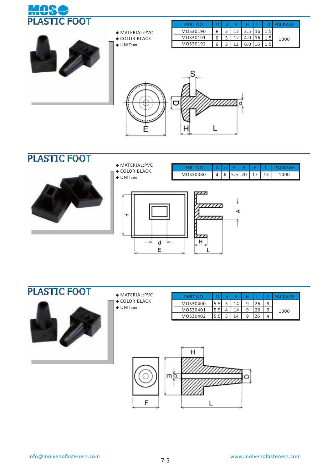



- **◆** MATERIAL:PVC **◆** COLOR:BLACK
- **◆** UNIT:**㎜**

| PART NO  |              |  |  | ACKAGF |
|----------|--------------|--|--|--------|
| MOS30190 |              |  |  |        |
| MOS30191 |              |  |  | 1000   |
| MOS30192 | $\mathbf{r}$ |  |  |        |





- **◆** MATERIAL:PVC **◆** COLOR:BLACK
- **◆** UNIT:**㎜**

 $\blacksquare$ 







- **◆** MATERIAL:PVC
- **◆** COLOR:BLACK
- **◆** UNIT:**㎜**

| PART NO  |     |   |     |   |  | PACKAGF |
|----------|-----|---|-----|---|--|---------|
| MOS30400 |     | ာ |     |   |  |         |
| MOS30401 |     |   | 14  | 9 |  | 1000    |
| MOS30402 | 5.5 |   | 1 A | a |  |         |

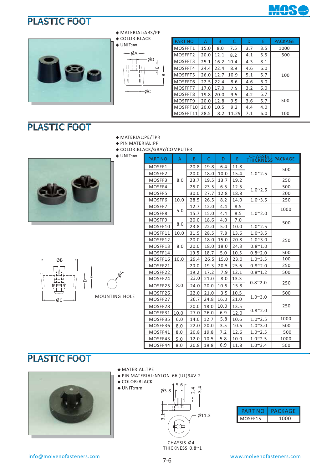



**◆** MATERIAL:ABS/PP

#### **◆** COLOR:BLACK **◆** UNIT:**㎜**



| <b>PART NO</b> | Α    | B    | C     | D   | E   | <b>PACKAGE</b> |
|----------------|------|------|-------|-----|-----|----------------|
| MOSFFT1        | 15.0 | 8.0  | 7.5   | 3.7 | 3.5 | 1000           |
| MOSFFT2        | 20.0 | 12.1 | 8.2   | 4.1 | 5.5 | 500            |
| MOSFFT3        | 25.1 | 16.2 | 10.4  | 4.3 | 8.1 |                |
| MOSFFT4        | 24.4 | 22.4 | 8.9   | 4.6 | 6.0 |                |
| MOSFFT5        | 26.0 | 12.7 | 10.9  | 5.1 | 5.7 | 100            |
| MOSFFT6        | 22.5 | 22.4 | 8.6   | 4.6 | 6.0 |                |
| MOSFFT7        | 17.0 | 17.0 | 7.5   | 3.2 | 6.0 |                |
| MOSFFT8        | 19.8 | 20.0 | 9.5   | 4.2 | 5.7 |                |
| MOSFFT9        | 20.0 | 12.8 | 9.5   | 3.6 | 5.7 | 500            |
| MOSFFT10       | 20.0 | 10.5 | 9.2   | 4.4 | 4.0 |                |
| MOSFFT11       | 28.5 | 8.2  | 11.29 | 7.1 | 6.0 | 100            |

# PLASTIC FOOT

- **◆** MATERIAL:PE/TPR
- **◆** PIN MATERIAL:PP
- **◆** COLOR:BLACK/GRAY/COMPUTER **◆** UNIT:**㎜**





| <b>PART NO</b>     | $\mathsf{A}$ | B.   | $\mathsf{C}$ | D    | E.   | <b>CHASSIS</b><br><b>THICKNESS</b> | <b>PACKAGE</b> |  |
|--------------------|--------------|------|--------------|------|------|------------------------------------|----------------|--|
| MOSFF1             |              | 20.8 | 19.8         | 6.4  | 11.8 |                                    |                |  |
| MOSFF <sub>2</sub> |              | 20.0 | 18.0         | 10.0 | 15.4 | $1.0^{\sim}$ 2.5                   | 500            |  |
| MOSFF3             | 8.0          | 23.7 | 19.5         | 13.7 | 19.2 |                                    | 250            |  |
| MOSFF4             |              | 25.0 | 23.5         | 6.5  | 12.5 | $1.0^{\sim}2.5$                    | 500            |  |
| MOSFF5             |              | 30.0 | 27.7         | 12.8 | 18.8 |                                    | 200            |  |
| MOSFF6             | 10.0         | 28.5 | 26.5         | 8.2  | 14.0 | $1.0^{\circ}3.5$                   | 250            |  |
| MOSFF7             |              | 12.7 | 12.0         | 4.4  | 8.5  |                                    | 1000           |  |
| MOSFF8             | 5.0          | 15.7 | 15.0         | 4.4  | 8.5  | $1.0^{\sim}2.0$                    |                |  |
| MOSFF9             |              | 20.0 | 18.6         | 4.0  | 7.0  |                                    | 500            |  |
| MOSFF10            | 8.0          | 23.8 | 22.0         | 5.0  | 10.0 | $1.0^{\sim}2.5$                    |                |  |
| MOSFF11            | 10.0         | 31.5 | 28.5         | 7.8  | 13.6 | $1.0^{\circ}3.5$                   |                |  |
| MOSFF12            |              | 20.0 | 18.0         | 15.0 | 20.8 | $1.0^{\sim}3.0$                    | 250            |  |
| MOSFF13            | 8.0          | 20.0 | 18.0         | 18.0 | 24.3 | $0.8^{\sim}1.0$                    |                |  |
| MOSFF14            |              | 19.5 | 18.7         | 5.0  | 10.5 | $0.8^{\sim}2.0$                    | 500            |  |
| MOSFF16            | 10.0         | 29.4 | 26.5         | 15.0 | 23.0 | $1.0^{\circ}3.5$                   | 100            |  |
| MOSFF21            |              | 20.0 | 19.3         | 20.5 | 25.6 | $0.8^{\sim}2.0$                    | 250            |  |
| MOSFF22            |              | 19.2 | 17.2         | 7.9  | 12.1 | $0.8^{\sim}1.2$                    | 500            |  |
| MOSFF24            |              | 23.0 | 21.0         | 8.0  | 13.3 |                                    |                |  |
| MOSFF25            | 8.0          | 24.0 | 20.0         | 10.5 | 15.8 | $0.8^{\sim}2.0$                    | 250            |  |
| MOSFF26            |              | 22.0 | 21.0         | 3.5  | 10.5 |                                    | 500            |  |
| MOSFF27            |              | 26.7 | 24.8         | 16.0 | 21.0 | $1.0^{\sim}3.0$                    |                |  |
| MOSFF28            |              | 20.0 | 18.0         | 10.0 | 13.5 |                                    | 250            |  |
| MOSFF31            | 10.0         | 27.0 | 26.0         | 6.9  | 12.0 | $0.8^{\sim}2.0$                    |                |  |
| MOSFF35            | 6.0          | 14.0 | 12.7         | 5.8  | 10.6 | $1.0^{\circ}2.5$                   | 1000           |  |
| MOSFF36            | 8.0          | 22.0 | 20.0         | 3.5  | 10.5 | $1.0^{\sim}3.0$                    | 500            |  |
| MOSFF41            | 8.0          | 20.8 | 19.8         | 7.2  | 12.6 | $1.0^{\sim}$ 2.5                   | 500            |  |
| MOSFF43            | 5.0          | 12.0 | 10.5         | 5.8  | 10.0 | $1.0^{\sim}$ 2.5                   | 1000           |  |
| MOSFF44            | 8.0          | 20.8 | 19.8         | 6.9  | 11.8 | $1.0^{\circ}3.4$                   | 500            |  |



- **◆** MATERIAL:TPE
- **◆** PIN MATERIAL:NYLON 66 (UL)94V-2
- **◆** COLOR:BLACK





| PART    | PACKAGE |
|---------|---------|
| MOSFF15 | 1000    |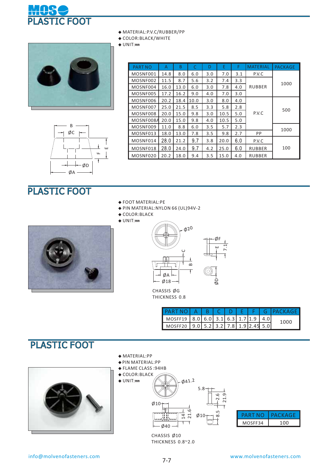

|  | ◆ MATERIAL: P.V.C/RUBBER/PP |  |  |  |  |  |  |  |
|--|-----------------------------|--|--|--|--|--|--|--|
|--|-----------------------------|--|--|--|--|--|--|--|

**◆** COLOR:BLACK/WHITE

**◆** UNIT:**㎜**



B

| ı<br><b>PART NO</b> | A    | B    | C    | D   | E    | F   | <b>MATERIAL</b> | <b>PACKAGE</b> |  |
|---------------------|------|------|------|-----|------|-----|-----------------|----------------|--|
| MOSNF001            | 14.8 | 8.0  | 6.0  | 3.0 | 7.0  | 3.1 | P.V.C           |                |  |
| MOSNF002            | 11.5 | 8.7  | 5.6  | 3.2 | 7.4  | 3.3 |                 |                |  |
| MOSNF004            | 16.0 | 13.0 | 6.0  | 3.0 | 7.8  | 4.0 | <b>RUBBER</b>   | 1000           |  |
| MOSNF005            | 17.2 | 16.2 | 9.0  | 4.0 | 7.0  | 3.0 |                 |                |  |
| MOSNF006            | 20.2 | 18.4 | 10.0 | 3.0 | 8.0  | 4.0 |                 |                |  |
| MOSNF007            | 25.0 | 21.5 | 8.5  | 3.3 | 5.8  | 2.8 |                 | 500            |  |
| MOSNF008            | 20.0 | 15.0 | 9.8  | 3.0 | 10.5 | 5.0 | P.V.C           |                |  |
| MOSNF008A           | 20.0 | 15.0 | 9.8  | 4.0 | 10.5 | 5.0 |                 |                |  |
| MOSNF009            | 11.0 | 8.8  | 6.0  | 3.5 | 5.7  | 2.3 |                 | 1000           |  |
| MOSNF013            | 18.0 | 13.0 | 7.8  | 3.5 | 9.8  | 2.7 | PP              |                |  |
| MOSNF014            | 28.0 | 21.2 | 9.7  | 3.8 | 20.0 | 6.0 | P.V.C           |                |  |
| MOSNF018            | 28.0 | 24.0 | 9.7  | 4.2 | 25.0 | 6.0 | <b>RUBBER</b>   | 100            |  |
| MOSNF020            | 20.2 | 18.0 | 9.4  | 3.5 | 15.0 | 4.0 | <b>RUBBER</b>   |                |  |



# PLASTIC FOOT

- **◆** FOOT MATERIAL:PE
- **◆** PIN MATERIAL:NYLON 66 (UL)94V-2
- **◆** COLOR:BLACK
- **◆** UNIT:**㎜**





CHASSIS ØG THICKNESS 0.8

|                                                   |  |  |  | PARTNO   A   B   C   D   E   F   G   PACKAGE |
|---------------------------------------------------|--|--|--|----------------------------------------------|
| MOSFF19   8.0   6.0   3.1   6.3   1.7   1.9   4.0 |  |  |  | 1000                                         |
| MOSFF20 9.0 5.2 3.2 7.8 1.9 2.45 5.0              |  |  |  |                                              |

 21.9 2.6

 $\alpha$ 

### PLASTIC FOOT



- **◆** MATERIAL:PP
- **◆** PIN MATERIAL:PP
- **◆** FLAME CLASS :94HB







CHASSIS Ø10 THICKNESS 0.8~2.0

Ø40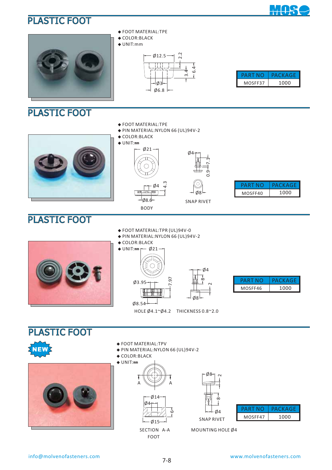



### PLASTIC FOOT



- **◆** FOOT MATERIAL:TPE
- **◆** COLOR:BLACK
- **◆** UNIT:mm



|         | PACKAGE |
|---------|---------|
| MOSFF37 | 1000    |

#### **◆** FOOT MATERIAL:TPE

- **◆** PIN MATERIAL:NYLON 66 (UL) 94V-2
- **◆** COLOR:BLACK
- **◆** UNIT:**㎜**



| Ö<br>Ő |            |
|--------|------------|
|        | <b>PAR</b> |
|        | <b>MOS</b> |
| F٦     |            |

7.1

| PARINC  | PACKAGE |
|---------|---------|
| MOSFF40 | 1000    |

# PLASTIC FOOT



#### **◆** FOOT MATERIAL:TPR (UL)94V-0

- **◆** PIN MATERIAL:NYLON 66 (UL) 94V-2
- **◆** COLOR:BLACK





| PART NO | PACKAGE |
|---------|---------|
| MOSFF46 | 1000    |

HOLE Ø4.1~Ø4.2 THICKNESS 0.8~2.0

PLASTIC FOOT





- **◆** FOOT MATERIAL:TPV
- **◆** PIN MATERIAL:NYLON 66 (UL) 94V-2
- **◆** COLOR:BLACK





SECTION A-A FOOT





MOUNTING HOLE Ø4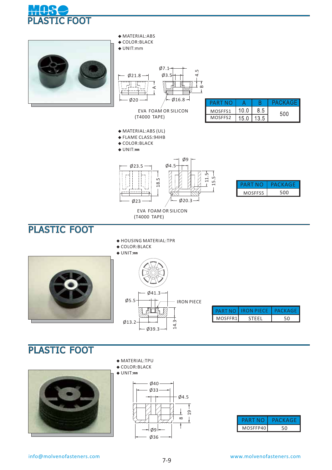







|         | PART NO I IRON PIECE | PACKAGE |
|---------|----------------------|---------|
| MOSFFR1 |                      |         |



**◆** MATERIAL:TPU **◆** COLOR:BLACK







| PART     | PACKAGE |
|----------|---------|
| MOSFFP40 |         |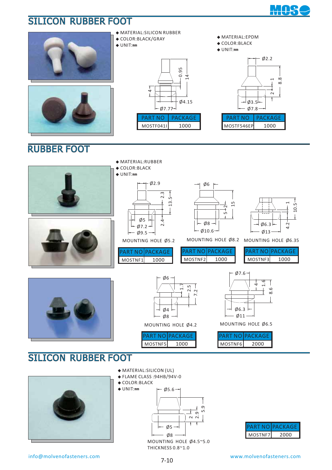

 $\phi$ 2.2

 $2 + + - 1$ 8.8

1000

MOSTF546EP

PART NO PACKAGE

# SILICON RUBBER FOOT









PART NO | PACKAGE MOSTF041I 1000



info@molvenofasteners.com www.molvenofasteners.com

THICKNESS 0.8~1.0

 $-$  Ø5 - $-$  Ø8

MOUNTING HOLE Ø4.5~5.0

5.9 ب<br>2 م<br>2 م

PART NO PACKAGE MOSTNF7 2000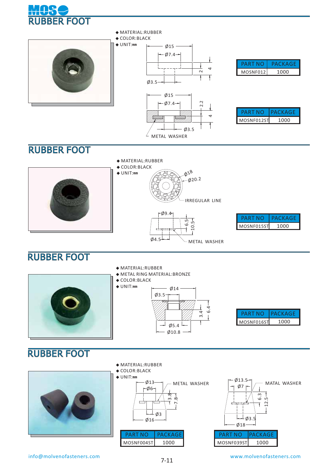





| PART     | PACKAGF |
|----------|---------|
| MOSNF012 | 1000    |

| PARI       | РАСКАСЪ |
|------------|---------|
| MOSNF012ST | 1000    |

- **◆** MATERIAL:RUBBER
- **◆** COLOR:BLACK





METAL WASHER

| PART       | PACKAGE |
|------------|---------|
| MOSNF015ST | 1000    |

# RUBBER FOOT



Ø4.5

# RUBBER FOOT



**◆** MATERIAL:RUBBER





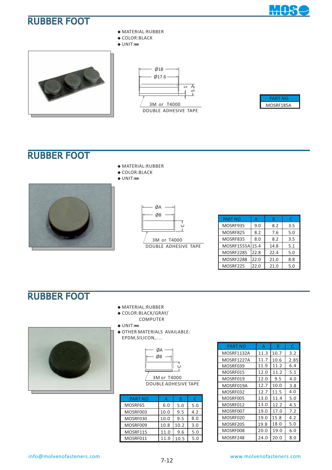**MOS** 





# RUBBER FOOT

**◆** MATERIAL:RUBBER

**◆** MATERIAL:RUBBER **◆** COLOR:BLACK **◆** UNIT:**㎜**

**◆** COLOR:BLACK **◆** UNIT:**㎜**



| ØА |        |
|----|--------|
| ØB |        |
|    | $\cup$ |
|    |        |

 3M or T4000 DOUBLE ADHESIVE TAPE

| <b>PART NO</b>   |      | в    | C   |
|------------------|------|------|-----|
| MOSRF935         | 9.0  | 8.2  | 3.5 |
| MOSRF825         | 8.2  | 7.6  | 5.0 |
| MOSRF835         | 8.0  | 8.2  | 3.5 |
| MOSRF1555A       | 15.4 | 14.8 | 5.1 |
| <b>MOSRF2285</b> | 22.8 | 22.4 | 5.0 |
| <b>MOSRF2288</b> | 22.0 | 21.0 | 8.8 |
| MOSRF225         | 22.0 | 21.0 | 5.0 |

### RUBBER FOOT



- COMPUTER **◆** UNIT:**㎜**
- 
- **◆** OTHER MATERIALS AVAILABLE: EPDM,SILICON,....



DOUBLE ADHESIVE TAPE

| <b>PART NO</b> |      | B    |     |
|----------------|------|------|-----|
| MOSRF65        | 6.0  | 5.0  | 5.0 |
| MOSRF003       | 10.0 | 9.5  | 4.2 |
| MOSRF030       | 10.0 | 9.5  | 8.0 |
| MOSRF009       | 10.8 | 10.2 | 3.0 |
| MOSRF115       | 11.0 | 9.6  | 5.0 |
| MOSRF011       |      | 10.5 | 5.0 |

| PART NO    | А    | B    | C    |
|------------|------|------|------|
| MOSRF1132A | 11.3 | 10.7 | 3.2  |
| MOSRF1227A | 11.7 | 10.6 | 2.85 |
| MOSRF039   | 11.9 | 11.2 | 6.4  |
| MOSRF015   | 12.0 | 11.2 | 5.1  |
| MOSRF019   | 12.0 | 9.5  | 4.0  |
| MOSRF019A  | 12.7 | 10.0 | 3.8  |
| MOSRF032   | 12.7 | 11.5 | 4.0  |
| MOSRF005   | 13.0 | 11.4 | 5.0  |
| MOSRF012   | 13.0 | 12.2 | 4.5  |
| MOSRF007   | 19.0 | 17.0 | 7.2  |
| MOSRF020   | 19.0 | 15.8 | 4.2  |
| MOSRF205   | 19.8 | 18.0 | 5.0  |
| MOSRF008   | 20.0 | 19.0 | 6.0  |
| MOSRF248   | 24.0 | 20.0 | 8.0  |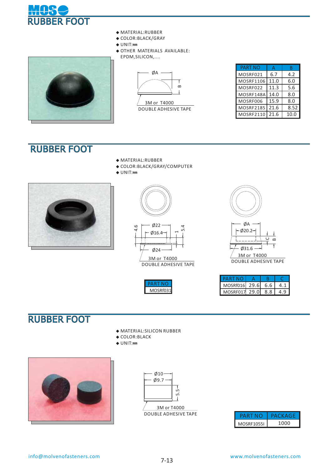

- **◆** MATERIAL:RUBBER
- **◆** COLOR:BLACK/GRAY
- **◆** UNIT:**㎜**
- **◆** OTHER MATERIALS AVAILABLE: EPDM,SILICON,....





 3M or T4000 DOUBLE ADHESIVE TAPE

| <b>PART NO</b> |      |      |
|----------------|------|------|
| MOSRF021       | 6.7  | 4.2  |
| MOSRF1106      | 11.0 | 6.0  |
| MOSRF022       | 11.3 | 5.6  |
| MOSRF148A      | 14.0 | 8.0  |
| MOSRF006       | 15.9 | 8.0  |
| MOSRF2185      | 21.6 | 8.52 |
| MOSRF2110      | 21.6 | 10.0 |

### RUBBER FOOT

- **◆** MATERIAL:RUBBER
- **◆** COLOR:BLACK/GRAY/COMPUTER







 3M or T4000 DOUBLE ADHESIVE TAPE

| c |
|---|



| <b>PART NO</b>    |     |     |
|-------------------|-----|-----|
| MOSRf016 29.6 6.6 |     | 4   |
| MOSRF017 29.0     | 8.8 | 4.9 |

# RUBBER FOOT

- **◆** MATERIAL:SILICON RUBBER
- **◆** COLOR:BLACK
- **◆** UNIT:**㎜**





| <b>PAR</b>        | аскасе |
|-------------------|--------|
| <b>MOSRF1055I</b> | 1000   |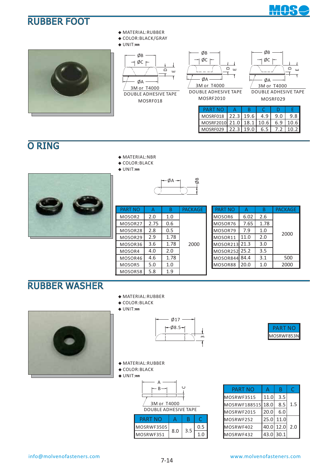





**◆** COLOR:BLACK/GRAY

#### **◆** UNIT:**㎜**



MOSRF018 DOUBLE ADHESIVE TAPE



MOSRF2010



MOSRF029 DOUBLE ADHESIVE TAPE

| <b>PART NO</b>                    |  |  |  |
|-----------------------------------|--|--|--|
| MOSRF018 22.3 19.6 4.9 9.0 9.8    |  |  |  |
| MOSRF2010 21.0 18.1 10.6 6.9 10.6 |  |  |  |
| MOSRF029 22.3 19.0 6.5 7.2 10.2   |  |  |  |

# O RING

- **◆** MATERIAL:NBR
- **◆** COLOR:BLACK
- **◆** UNIT:**㎜**



| <b>PART NO</b>     | А    | B    | <b>PACKAGE</b> |
|--------------------|------|------|----------------|
| MOSOR <sub>2</sub> | 2.0  | 1.0  |                |
| MOSOR27            | 2.75 | 0.6  |                |
| MOSOR28            | 2.8  | 0.5  |                |
| MOSOR29            | 2.9  | 1.78 |                |
| MOSOR36            | 3.6  | 1.78 | 2000           |
| MOSOR4             | 4.0  | 2.0  |                |
| MOSOR46            | 4.6  | 1.78 |                |
| MOSOR5             | 5.0  | 1.0  |                |
| MOSOR58            | 5.8  | 1.9  |                |

ØA

ØB

| <b>PART NO</b> | Δ    | B    | <b>PACKAGE</b> |
|----------------|------|------|----------------|
| MOSOR6         | 6.02 | 2.6  |                |
| MOSOR76        | 7.65 | 1.78 |                |
| MOSOR79        | 7.9  | 1.0  | 2000           |
| MOSOR11        | 11.0 | 2.0  |                |
| MOSOR213 21.3  |      | 3.0  |                |
| MOSOR252 25.2  |      | 3.5  |                |
| MOSOR844 84.4  |      | 3.1  | 500            |
| MOSOR88        | 20.0 | 1.0  | 2000           |

### RUBBER WASHER

- **◆** MATERIAL:RUBBER
- **◆** COLOR:BLACK









- **◆** MATERIAL:RUBBER
- **◆** COLOR:BLACK
- **◆** UNIT:**㎜**



| PARTNO     |     |  |
|------------|-----|--|
| MOSRWF3505 |     |  |
| MOSRWF351  | 8.0 |  |

| <b>PART NO</b> | А    | B         | C   |
|----------------|------|-----------|-----|
| MOSRWF3515     | 11.0 | 3.5       |     |
| MOSRWF188515   | 18.0 | 8.5       | 1.5 |
| MOSRWF2015     | 20.0 | 6.0       |     |
| MOSRWF252      | 25.0 | 11.0      |     |
| MOSRWF402      | 40.0 | 12.0      | 2.0 |
| MOSRWF432      |      | 43.0 30.1 |     |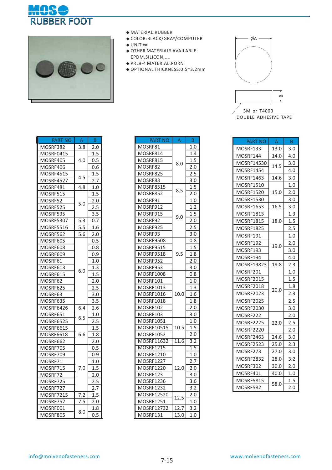



- **◆** MATERIAL:RUBBER
- **◆** COLOR:BLACK/GRAY/COMPUTER
- **◆** UNIT:**㎜**
- **◆** OTHER MATERIALS AVAILABLE: EPDM,SILICON,....
- **◆** PRL9-4 MATERIAL:PORN
- **◆** OPTIONAL THICKNESS:0.5~3.2mm



DOUBLE ADHESIVE TAPE

| <b>PART NO</b>   | $\mathsf A$      | B          |
|------------------|------------------|------------|
| MOSRF382         | 3.8              | 2.0        |
| MOSRF0415        |                  | 1.5        |
| MOSRF405         | 4.0              | 0.5        |
| MOSRF406         |                  | 0.6        |
| MOSRF4515        |                  | 1.5        |
| MOSRF4527        | 4.5              | <u>2.7</u> |
| MOSRF481         | 4.8              | 1.0        |
| MOSRF515         |                  | 1.5        |
| MOSRF52          | 5.0              | 2.0        |
| MOSRF525         |                  | 2.5        |
| MOSRF535         |                  | 5<br>3.    |
| MOSRF5307        | $\overline{5.3}$ | 0.7        |
| MOSRF5516        | 5.5              | 1.6        |
| MOSRF562         | 5.6              | 2.0        |
| MOSRF605         |                  | 0.5        |
| MOSRF608         |                  | 0.8        |
| MOSRF609         |                  | 0.9        |
| MOSRF61          |                  | 1.0        |
| MOSRF613         | 6.0              | 1.3        |
| MOSRF615         |                  | 1.5        |
| MOSRF62          |                  | 2.0        |
| MOSRF625         |                  | 2.5        |
| MOSRF63          |                  | 3.0        |
| MOSRF635         |                  | 3.5        |
| MOSRF6426        | 6.4              | 2.6        |
| MOSRF651         | 6.5              | 1.0        |
| MOSRF6525        |                  | 2.5        |
| MOSRF6615        |                  | 1.5        |
| <b>MOSRF6618</b> | 6.6              | 1.8        |
| MOSRF662         |                  | 2.0        |
| MOSRF705         |                  | 0.5        |
| MOSRF709         |                  | 0.9        |
| MOSRF71          |                  | 1.0        |
| MOSRF715         | 7.0              | 1.5        |
| MOSRF72          |                  | 2.0        |
| MOSRF725         |                  | 2.5        |
| MOSRF727         |                  | 2.7        |
| <b>MOSRF7215</b> | 7.2              | 1.5        |
| MOSRF752         | $\overline{7.5}$ | 2.0        |
| MOSRF001         |                  | 1.8        |
| <b>MOSRF805</b>  | 8.0              | 0.5        |

| <b>PART NO</b>    | Α           | B                |
|-------------------|-------------|------------------|
| MOSRF81           |             | 1.0              |
| MOSRF814          |             | 1.4              |
| MOSRF815          | 8.0         | 1.5              |
| MOSRF82           |             | 2.0              |
| MOSRF825          |             | 2.5              |
| MOSRF83           |             | 3.0              |
| MOSRF8515         |             | 1.5              |
| MOSRF852          | 8.5         | 2.0              |
| MOSRF91           |             | 1.0              |
| MOSRF912          |             | 1.2              |
| MOSRF915          | 9.0         | 1.5              |
| MOSRF92           |             | 2.0              |
| MOSRF925          |             | 2.5              |
| MOSRF93           |             | 3.0              |
| <b>MOSRF9508</b>  |             | 0.8              |
| <b>MOSRF9515</b>  |             | 1.5              |
| MOSRF9518         | 9.5         | 1.8              |
| MOSRF952          |             | 2.0              |
| MOSRF953          |             | 3.0              |
| MOSRF1008         |             | 0.8              |
| MOSRF101          |             | 1.0              |
| MOSRF1013         |             | 1.3              |
| MOSRF1016         | 10.0        | 1.6              |
| MOSRF1018         |             | 1.8              |
| MOSRF102          |             | 2.0              |
| MOSRF103          |             | 3.0              |
| MOSRF1051         |             | 1.0              |
| MOSRF10515        | 10.5        | 1.5              |
| MOSRF1052         |             | 2.0              |
| <b>MOSRF11632</b> | 11.6        | $\overline{3.2}$ |
| <b>MOSRF1215</b>  |             | $\overline{1.5}$ |
| MOSRF1210         |             | 1.0              |
| MOSRF1227         |             | 2.7              |
| MOSRF1220         | 12.0        | 2.0              |
| MOSRF123          |             | 3.0              |
| MOSRF1236         |             | 3.6              |
| <b>MOSRF1232</b>  |             | 3.2              |
| MOSRF12520        | 12.5        | 2.0              |
| MOSRF1251         |             | 1.0              |
| MOSRF12732        | <u>12.7</u> | 3.2              |
| MOSRF131          | 13.0        | 1.0              |

| <b>PART NO</b>   | A    | B.  |
|------------------|------|-----|
| MOSRF133         | 13.0 | 3.0 |
| MOSRF144         | 14.0 | 4.0 |
| MOSRF14530       | 14.5 | 3.0 |
| MOSRF1454        |      | 4.0 |
| MOSRF1463        | 14.6 | 3.0 |
| MOSRF1510        |      | 1.0 |
| MOSRF1520        | 15.0 | 2.0 |
| <b>MOSRF1530</b> |      | 3.0 |
| MOSRF1653        | 16.5 | 3.0 |
| <b>MOSRF1813</b> |      | 1.3 |
| MOSRF1815        | 18.0 | 1.5 |
| <b>MOSRF1825</b> |      | 2.5 |
| MOSRF191         |      | 1.0 |
| MOSRF192         | 19.0 | 2.0 |
| MOSRF193         |      | 3.0 |
| MOSRF194         |      | 4.0 |
| MOSRF19823       | 19.8 | 2.3 |
| MOSRF201         |      | 1.0 |
| MOSRF2015        |      | 1.5 |
| MOSRF2018        | 20.0 | 1.8 |
| <b>MOSRF2023</b> |      | 2.3 |
| MOSRF2025        |      | 2.5 |
| MOSRF2030        |      | 3.0 |
| MOSRF222         |      | 2.0 |
| MOSRF2225        | 22.0 | 2.5 |
| MOSRF2220        |      | 2.0 |
| MOSRF2463        | 24.6 | 3.0 |
| MOSRF2523        | 25.0 | 2.3 |
| MOSRF273         | 27.0 | 3.0 |
| MOSRF2832        | 28.0 | 3.2 |
| MOSRF302         | 30.0 | 2.0 |
| MOSRF401         | 40.0 | 1.0 |
| <b>MOSRF5815</b> |      | 1.5 |
| MOSRF582         | 58.0 | 2.0 |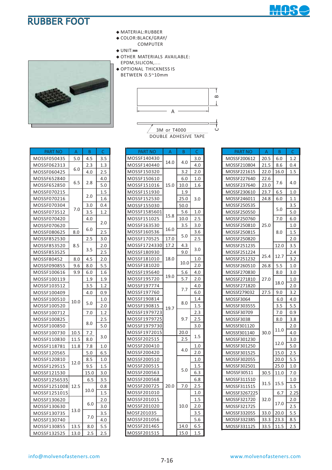



- **◆** MATERIAL:RUBBER
- **◆** COLOR:BLACK/GRAY/ COMPUTER
- **◆** UNIT:**㎜**
- **◆** OTHER MATERIALS AVAILABLE:
- EPDM,SILICON,....
- **◆** OPTIONAL THICKNESS IS BETWEEN 0.5~10mm



| PART NO      | A    | B    | C   |
|--------------|------|------|-----|
| MOSSF050435  | 5.0  | 4.5  | 3.5 |
| MOSSF062313  |      | 2.3  | 1.3 |
| MOSSF060425  | 6.0  | 4.0  | 2.5 |
| MOSSF652840  |      |      | 4.0 |
| MOSSF652850  | 6.5  | 2.8  | 5.0 |
| MOSSF070215  |      |      | 1.5 |
| MOSSF070216  |      | 2.0  | 1.6 |
| MOSSF070304  |      | 3.0  | 0.4 |
| MOSSF073512  | 7.0  | 3.5  | 1.2 |
| MOSSF070420  |      | 4.0  |     |
| MOSSF070620  |      |      | 2.0 |
| MOSSF080625  | 8.0  | 6.0  | 2.5 |
| MOSSF852530  |      | 2.5  | 3.0 |
| MOSSF853520  | 8.5  |      | 2.0 |
| MOSSF853525  |      | 3.5  | 2.5 |
| MOSSF80452   | 8.0  | 4.5  | 2.0 |
| MOSSF090855  | 9.6  | 8.0  | 5.5 |
| MOSSF100616  | 9.9  | 6.0  | 1.6 |
| MOSSF100119  |      | 1.9  | 1.9 |
| MOSSF103512  |      | 3.5  | 1.2 |
| MOSSF100409  |      | 4.0  | 0.9 |
| MOSSF100510  | 10.0 |      | 1.0 |
| MOSSF100520  |      | 5.0  | 2.0 |
| MOSSF100712  |      | 7.0  | 1.2 |
| MOSSF100825  |      |      | 2.5 |
| MOSSF100850  |      | 8.0  | 5.0 |
| MOSSF100730  | 10.5 | 7.2  |     |
| MOSSF110830  | 11.5 | 8.0  | 3.0 |
| MOSSF118781  | 11.8 | 7.8  | 1.0 |
| MOSSF120565  |      | 5.0  | 6.5 |
| MOSSF120810  | 12.0 | 8.5  | 1.0 |
| MOSSF129515  |      | 9.5  | 1.5 |
| MOSSF121530  |      | 15.0 | 3.0 |
| MOSSF1256535 |      | 6.5  | 3.5 |
| MOSSF1251008 | 12.5 |      | 0.8 |
| MOSSF1251015 |      | 10.0 | 1.5 |
| MOSSF130620  |      |      | 2.0 |
| MOSSF130630  |      | 6.0  | 3.0 |
| MOSSF130735  | 13.0 |      | 3.5 |
| MOSSF130740  |      | 7.0  | 4.0 |
| MOSSF130855  | 13.5 | 8.0  | 5.5 |

| PART NO      | $\mathsf{A}$ | B          | $\mathsf{C}$ |
|--------------|--------------|------------|--------------|
| MOSSF140430  |              |            | 3.0          |
| MOSSF140440  | 14.0         | 4.0        | 4.0          |
| MOSSF150320  |              | 3.2        | 2.0          |
| MOSSF150610  |              | 6.0        | 1.0          |
| MOSSF151016  | 15.0         | 10.0       | 1.6          |
| MOSSF151930  |              | 1.9        |              |
| MOSSF152530  |              | 25.0       | 3.0          |
| MOSSF155030  |              | 50.0       |              |
| MOSSF1585601 |              | 5.6        | 1.0          |
| MOSSF151025  | 15.8         | 10.0       | 2.5          |
| MOSSF163530  |              | 3.5        | 3.0          |
| MOSSF160536  | 16.0         |            | 3.6          |
| MOSSF170525  | 17.0         | 5.0        | 2.5          |
| MOSSF1724330 | 17.2         | 4.3        |              |
| MOSSF180930  |              | 9.0        | 3.0          |
| MOSSF181010  | 18.0         |            | 1.0          |
| MOSSF181020  |              | 10.0       | 2.0          |
| MOSSF195640  | 19.0         | 5.6        | 4.0          |
| MOSSF195720  |              | <u>5.7</u> | 2.0          |
| MOSSF197774  |              | 7.7        | 4.0          |
| MOSSF197760  |              |            | 6.0          |
| MOSSF190814  |              |            | 1.4          |
| MOSSF190815  | 19.7         | 8.0        | $1.5\,$      |
| MOSSF1979723 |              |            | 2.3          |
| MOSSF1979725 |              | 9.7        | 2.5          |
| MOSSF1979730 |              |            | 3.0          |
| MOSSF1972015 |              | 20.0       |              |
| MOSSF202515  |              | 2.5        | 1.5          |
| MOSSF200410  |              |            | 1.0          |
| MOSSF200420  |              | 4.0        | 2.0          |
| MOSSF200510  |              |            | <u>1.0</u>   |
| MOSSF200515  |              |            | 1.5          |
| MOSSF200563  |              | 5.0        | 6.3          |
| MOSSF200568  |              |            | 6.8          |
| MOSSF200725  | 20.0         | 7.0        | 2.5          |
| MOSSF201010  |              |            | 1.0          |
| MOSSF201015  |              |            | 1.5          |
| MOSSF201020  |              | 10.0       | 2.0          |
| MOSF201035   |              |            | 3.5          |
| MOSSF201056  |              |            | 5.6          |
| MOSSF201465  |              | 14.0       | 6.5          |
| MOSSF201515  |              | 15.0       | 1.5          |

| PART NO      | A           | $\overline{B}$ | $\mathsf{C}$ |
|--------------|-------------|----------------|--------------|
| MOSSF200612  | 20.5        | 6.0            |              |
| MOSSF210804  | 21.5        | 8.6            | 1.2<br>0.4   |
| MOSSF221615  | 22.0        | 16.0           | 1.5          |
| MOSSF227640  | 22.6        |                |              |
| MOSSF237640  | 23.0        | 7.6            | 4.0          |
| MOSSF230610  | 23.7        | 6.5            | 1.0          |
| MOSSF246011  | 24.8        | 6.0            | 1.1          |
| MOSSF250535  |             |                | 3.5          |
| MOSSF250550  |             | 5.0            | 5.0          |
| MOSSF250760  |             | 7.0            | 6.0          |
| MOSSF250810  | 25.0        |                | 1.0          |
| MOSSF250815  |             | 8.0            | 1.5          |
| MOSSF250820  |             |                | 2.0          |
| MOSSF251235  |             | 12.0           | 3.5          |
| MOSSF251224  |             |                | 2.4          |
| MOSSF251232  | 25.4        | 12.7           | 3.2          |
| MOSSF260510  | 26.8<br>5.5 |                | 1.0          |
| MOSSF270830  | 27.0        | 8.0            | 3.0          |
| MOSSF271810  |             |                | 1.0          |
| MOSSF271820  |             | 18.0           | 2.0          |
| MOSSf279032  | 27.5        | 9.0            | 3.2          |
| MOSSF3064    |             | 6.0            | 4.0          |
| MOSSF303555  |             | 3.5            | 5.5          |
| MOSSF30709   |             | 7.0            | 0.9          |
| MOSSF3038    |             | 8.0            | 3.8          |
| MOSSf301120  |             | 11.0           | 2.0          |
| MOSSf301140  | 30.0        |                | 4.0          |
| MOSSF301230  |             | 12.0           | 3.0          |
| MOSSF301250  |             |                | 5.0          |
| MOSSF301525  |             | 15.0           | 2.5          |
| MOSSF302055  |             | 20.0           | 5.5          |
| MOSSF302501  |             | 25.0           | 1.0          |
| MOSSF30511   | 30.5        | 11.0           | 7.0          |
| MOSSF311510  | 31.5        | 15.5           | 1.0          |
| MOSSF311515  |             |                | 1.5          |
| MOSSF3267225 |             | 6.7            | 2.25         |
| MOSSF321720  | 32.0        | 17.0           | 2.0          |
| MOSSF321725  |             |                | 2.5          |
| MOSSF332055  | 33.0        | 20.0           | 5.5          |
| MOSSF332385  | 33.3        | 23.3           | 8.5          |
| MOSSF331125  | 33.5        | 11.5           | 2.5          |

MOSSF132525 13.0 2.5 2.5